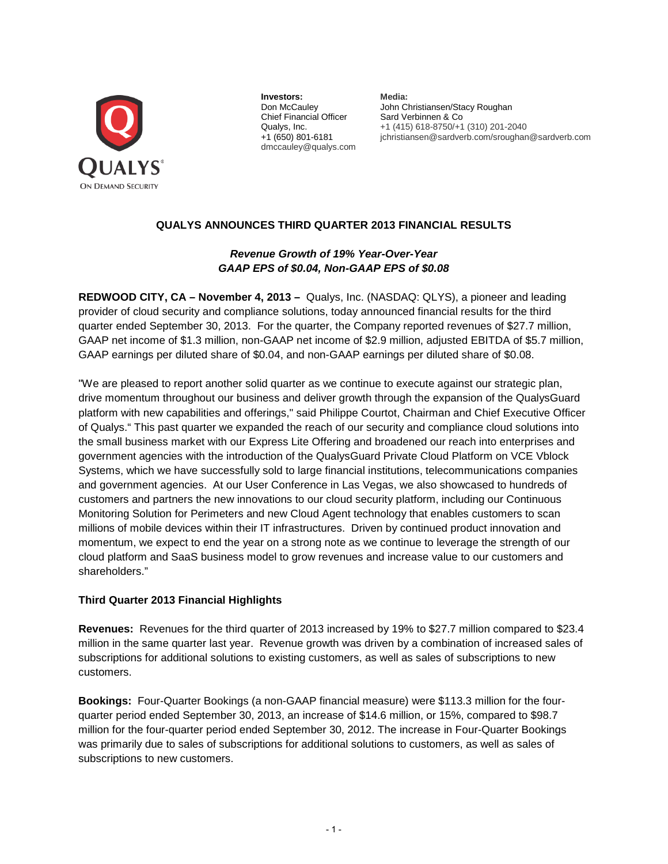

**Investors: Media: Don McCauley Algebra John Clare** Chief Financial Officer Sard Verbinnen & Co Qualys, Inc.<br>41 (415) 618-8750/+1 dmccauley@qualys.com

John Christiansen/Stacy Roughan Qualys, Inc. +1 (415) 618-8750/+1 (310) 201-2040<br>+1 (650) 801-6181 ichristiansen@sardverb.com/sroughar jchristiansen@sardverb.com/sroughan@sardverb.com

# **QUALYS ANNOUNCES THIRD QUARTER 2013 FINANCIAL RESULTS**

# *Revenue Growth of 19% Year-Over-Year GAAP EPS of \$0.04, Non-GAAP EPS of \$0.08*

**REDWOOD CITY, CA – November 4, 2013 –** Qualys, Inc. (NASDAQ: QLYS), a pioneer and leading provider of cloud security and compliance solutions, today announced financial results for the third quarter ended September 30, 2013. For the quarter, the Company reported revenues of \$27.7 million, GAAP net income of \$1.3 million, non-GAAP net income of \$2.9 million, adjusted EBITDA of \$5.7 million, GAAP earnings per diluted share of \$0.04, and non-GAAP earnings per diluted share of \$0.08.

"We are pleased to report another solid quarter as we continue to execute against our strategic plan, drive momentum throughout our business and deliver growth through the expansion of the QualysGuard platform with new capabilities and offerings," said Philippe Courtot, Chairman and Chief Executive Officer of Qualys." This past quarter we expanded the reach of our security and compliance cloud solutions into the small business market with our Express Lite Offering and broadened our reach into enterprises and government agencies with the introduction of the QualysGuard Private Cloud Platform on VCE Vblock Systems, which we have successfully sold to large financial institutions, telecommunications companies and government agencies. At our User Conference in Las Vegas, we also showcased to hundreds of customers and partners the new innovations to our cloud security platform, including our Continuous Monitoring Solution for Perimeters and new Cloud Agent technology that enables customers to scan millions of mobile devices within their IT infrastructures. Driven by continued product innovation and momentum, we expect to end the year on a strong note as we continue to leverage the strength of our cloud platform and SaaS business model to grow revenues and increase value to our customers and shareholders."

## **Third Quarter 2013 Financial Highlights**

**Revenues:** Revenues for the third quarter of 2013 increased by 19% to \$27.7 million compared to \$23.4 million in the same quarter last year. Revenue growth was driven by a combination of increased sales of subscriptions for additional solutions to existing customers, as well as sales of subscriptions to new customers.

**Bookings:** Four-Quarter Bookings (a non-GAAP financial measure) were \$113.3 million for the fourquarter period ended September 30, 2013, an increase of \$14.6 million, or 15%, compared to \$98.7 million for the four-quarter period ended September 30, 2012. The increase in Four-Quarter Bookings was primarily due to sales of subscriptions for additional solutions to customers, as well as sales of subscriptions to new customers.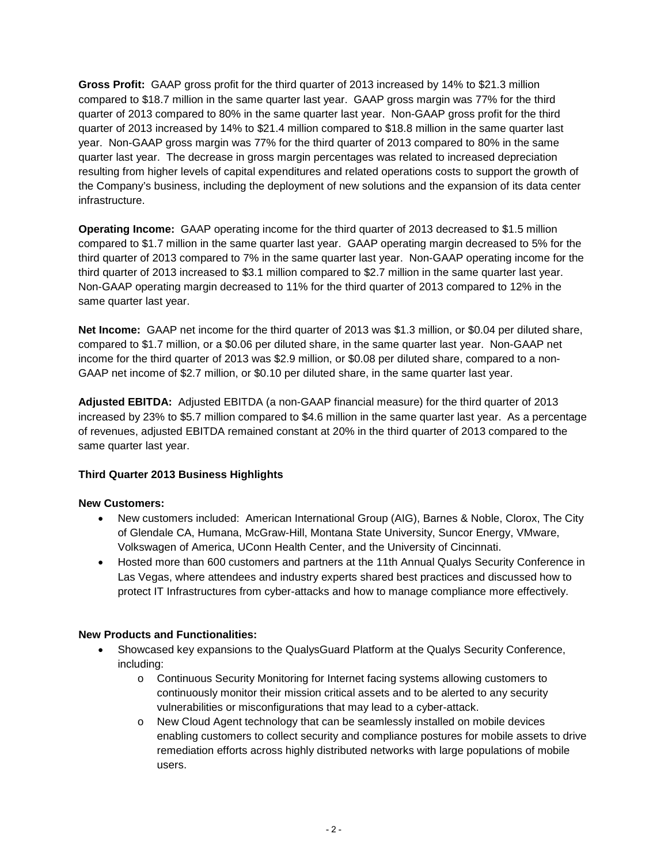**Gross Profit:** GAAP gross profit for the third quarter of 2013 increased by 14% to \$21.3 million compared to \$18.7 million in the same quarter last year. GAAP gross margin was 77% for the third quarter of 2013 compared to 80% in the same quarter last year. Non-GAAP gross profit for the third quarter of 2013 increased by 14% to \$21.4 million compared to \$18.8 million in the same quarter last year. Non-GAAP gross margin was 77% for the third quarter of 2013 compared to 80% in the same quarter last year. The decrease in gross margin percentages was related to increased depreciation resulting from higher levels of capital expenditures and related operations costs to support the growth of the Company's business, including the deployment of new solutions and the expansion of its data center infrastructure.

**Operating Income:** GAAP operating income for the third quarter of 2013 decreased to \$1.5 million compared to \$1.7 million in the same quarter last year. GAAP operating margin decreased to 5% for the third quarter of 2013 compared to 7% in the same quarter last year. Non-GAAP operating income for the third quarter of 2013 increased to \$3.1 million compared to \$2.7 million in the same quarter last year. Non-GAAP operating margin decreased to 11% for the third quarter of 2013 compared to 12% in the same quarter last year.

**Net Income:** GAAP net income for the third quarter of 2013 was \$1.3 million, or \$0.04 per diluted share, compared to \$1.7 million, or a \$0.06 per diluted share, in the same quarter last year. Non-GAAP net income for the third quarter of 2013 was \$2.9 million, or \$0.08 per diluted share, compared to a non-GAAP net income of \$2.7 million, or \$0.10 per diluted share, in the same quarter last year.

**Adjusted EBITDA:** Adjusted EBITDA (a non-GAAP financial measure) for the third quarter of 2013 increased by 23% to \$5.7 million compared to \$4.6 million in the same quarter last year. As a percentage of revenues, adjusted EBITDA remained constant at 20% in the third quarter of 2013 compared to the same quarter last year.

## **Third Quarter 2013 Business Highlights**

## **New Customers:**

- New customers included: American International Group (AIG), Barnes & Noble, Clorox, The City of Glendale CA, Humana, McGraw-Hill, Montana State University, Suncor Energy, VMware, Volkswagen of America, UConn Health Center, and the University of Cincinnati.
- Hosted more than 600 customers and partners at the 11th Annual Qualys Security Conference in Las Vegas, where attendees and industry experts shared best practices and discussed how to protect IT Infrastructures from cyber-attacks and how to manage compliance more effectively.

## **New Products and Functionalities:**

- Showcased key expansions to the QualysGuard Platform at the Qualys Security Conference, including:
	- o Continuous Security Monitoring for Internet facing systems allowing customers to continuously monitor their mission critical assets and to be alerted to any security vulnerabilities or misconfigurations that may lead to a cyber-attack.
	- o New Cloud Agent technology that can be seamlessly installed on mobile devices enabling customers to collect security and compliance postures for mobile assets to drive remediation efforts across highly distributed networks with large populations of mobile users.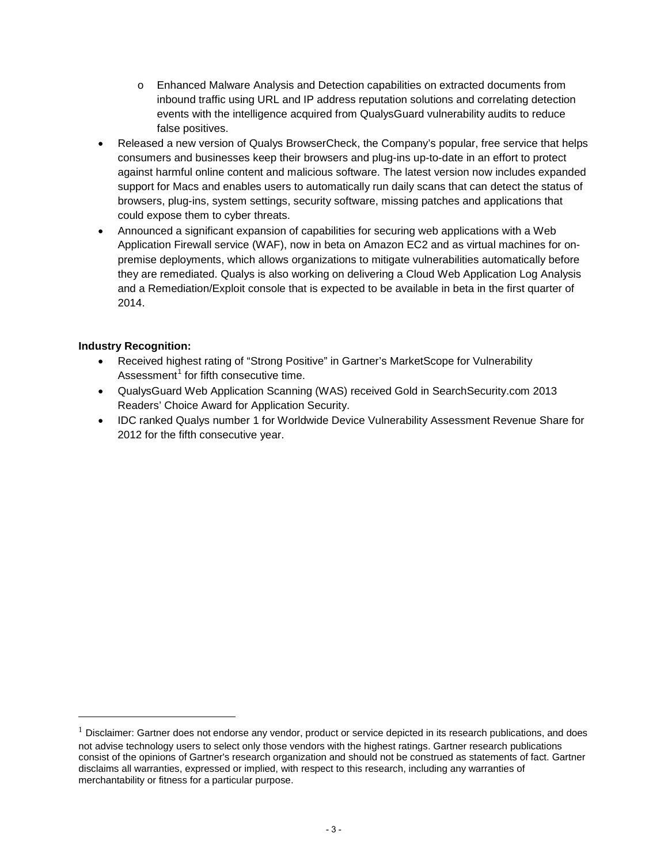- o Enhanced Malware Analysis and Detection capabilities on extracted documents from inbound traffic using URL and IP address reputation solutions and correlating detection events with the intelligence acquired from QualysGuard vulnerability audits to reduce false positives.
- Released a new version of Qualys BrowserCheck, the Company's popular, free service that helps consumers and businesses keep their browsers and plug-ins up-to-date in an effort to protect against harmful online content and malicious software. The latest version now includes expanded support for Macs and enables users to automatically run daily scans that can detect the status of browsers, plug-ins, system settings, security software, missing patches and applications that could expose them to cyber threats.
- Announced a significant expansion of capabilities for securing web applications with a Web Application Firewall service (WAF), now in beta on Amazon EC2 and as virtual machines for onpremise deployments, which allows organizations to mitigate vulnerabilities automatically before they are remediated. Qualys is also working on delivering a Cloud Web Application Log Analysis and a Remediation/Exploit console that is expected to be available in beta in the first quarter of 2014.

## **Industry Recognition:**

 $\overline{a}$ 

- Received highest rating of "Strong Positive" in Gartner's MarketScope for Vulnerability Assessment $<sup>1</sup>$  $<sup>1</sup>$  $<sup>1</sup>$  for fifth consecutive time.</sup>
- QualysGuard Web Application Scanning (WAS) received Gold in SearchSecurity.com 2013 Readers' Choice Award for Application Security.
- IDC ranked Qualys number 1 for Worldwide Device Vulnerability Assessment Revenue Share for 2012 for the fifth consecutive year.

<span id="page-2-0"></span> $1$  Disclaimer: Gartner does not endorse any vendor, product or service depicted in its research publications, and does not advise technology users to select only those vendors with the highest ratings. Gartner research publications consist of the opinions of Gartner's research organization and should not be construed as statements of fact. Gartner disclaims all warranties, expressed or implied, with respect to this research, including any warranties of merchantability or fitness for a particular purpose.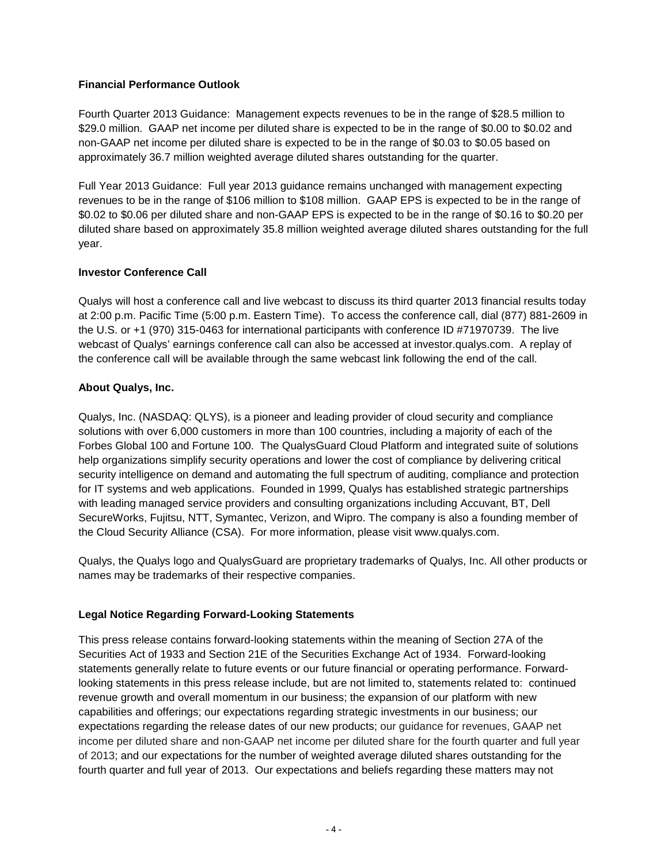## **Financial Performance Outlook**

Fourth Quarter 2013 Guidance: Management expects revenues to be in the range of \$28.5 million to \$29.0 million. GAAP net income per diluted share is expected to be in the range of \$0.00 to \$0.02 and non-GAAP net income per diluted share is expected to be in the range of \$0.03 to \$0.05 based on approximately 36.7 million weighted average diluted shares outstanding for the quarter.

Full Year 2013 Guidance: Full year 2013 guidance remains unchanged with management expecting revenues to be in the range of \$106 million to \$108 million. GAAP EPS is expected to be in the range of \$0.02 to \$0.06 per diluted share and non-GAAP EPS is expected to be in the range of \$0.16 to \$0.20 per diluted share based on approximately 35.8 million weighted average diluted shares outstanding for the full year.

## **Investor Conference Call**

Qualys will host a conference call and live webcast to discuss its third quarter 2013 financial results today at 2:00 p.m. Pacific Time (5:00 p.m. Eastern Time). To access the conference call, dial (877) 881-2609 in the U.S. or +1 (970) 315-0463 for international participants with conference ID #71970739. The live webcast of Qualys' earnings conference call can also be accessed at investor.qualys.com. A replay of the conference call will be available through the same webcast link following the end of the call.

## **About Qualys, Inc.**

Qualys, Inc. (NASDAQ: QLYS), is a pioneer and leading provider of cloud security and compliance solutions with over 6,000 customers in more than 100 countries, including a majority of each of the Forbes Global 100 and Fortune 100. The QualysGuard Cloud Platform and integrated suite of solutions help organizations simplify security operations and lower the cost of compliance by delivering critical security intelligence on demand and automating the full spectrum of auditing, compliance and protection for IT systems and web applications. Founded in 1999, Qualys has established strategic partnerships with leading managed service providers and consulting organizations including Accuvant, BT, Dell SecureWorks, Fujitsu, NTT, Symantec, Verizon, and Wipro. The company is also a founding member of the Cloud Security Alliance (CSA). For more information, please visit www.qualys.com.

Qualys, the Qualys logo and QualysGuard are proprietary trademarks of Qualys, Inc. All other products or names may be trademarks of their respective companies.

## **Legal Notice Regarding Forward-Looking Statements**

This press release contains forward-looking statements within the meaning of Section 27A of the Securities Act of 1933 and Section 21E of the Securities Exchange Act of 1934. Forward-looking statements generally relate to future events or our future financial or operating performance. Forwardlooking statements in this press release include, but are not limited to, statements related to: continued revenue growth and overall momentum in our business; the expansion of our platform with new capabilities and offerings; our expectations regarding strategic investments in our business; our expectations regarding the release dates of our new products; our guidance for revenues, GAAP net income per diluted share and non-GAAP net income per diluted share for the fourth quarter and full year of 2013; and our expectations for the number of weighted average diluted shares outstanding for the fourth quarter and full year of 2013. Our expectations and beliefs regarding these matters may not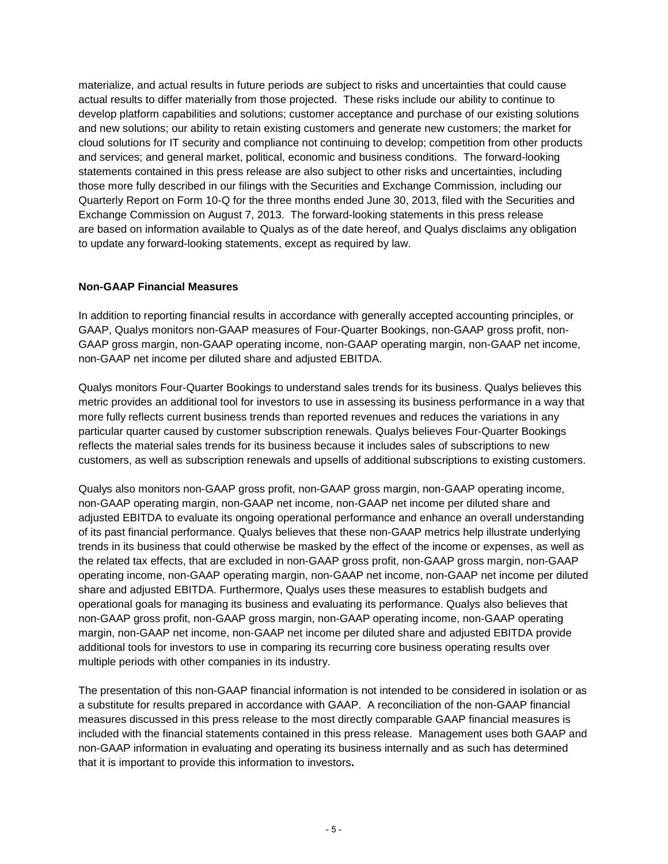materialize, and actual results in future periods are subject to risks and uncertainties that could cause actual results to differ materially from those projected. These risks include our ability to continue to develop platform capabilities and solutions; customer acceptance and purchase of our existing solutions and new solutions; our ability to retain existing customers and generate new customers; the market for cloud solutions for IT security and compliance not continuing to develop; competition from other products and services; and general market, political, economic and business conditions. The forward-looking statements contained in this press release are also subject to other risks and uncertainties, including those more fully described in our filings with the Securities and Exchange Commission, including our Quarterly Report on Form 10-Q for the three months ended June 30, 2013, filed with the Securities and Exchange Commission on August 7, 2013. The forward-looking statements in this press release are based on information available to Qualys as of the date hereof, and Qualys disclaims any obligation to update any forward-looking statements, except as required by law.

#### **Non-GAAP Financial Measures**

In addition to reporting financial results in accordance with generally accepted accounting principles, or GAAP, Qualys monitors non-GAAP measures of Four-Quarter Bookings, non-GAAP gross profit, non-GAAP gross margin, non-GAAP operating income, non-GAAP operating margin, non-GAAP net income, non-GAAP net income per diluted share and adjusted EBITDA.

Qualys monitors Four-Quarter Bookings to understand sales trends for its business. Qualys believes this metric provides an additional tool for investors to use in assessing its business performance in a way that more fully reflects current business trends than reported revenues and reduces the variations in any particular quarter caused by customer subscription renewals. Qualys believes Four-Quarter Bookings reflects the material sales trends for its business because it includes sales of subscriptions to new customers, as well as subscription renewals and upsells of additional subscriptions to existing customers.

Qualys also monitors non-GAAP gross profit, non-GAAP gross margin, non-GAAP operating income, non-GAAP operating margin, non-GAAP net income, non-GAAP net income per diluted share and adjusted EBITDA to evaluate its ongoing operational performance and enhance an overall understanding of its past financial performance. Qualys believes that these non-GAAP metrics help illustrate underlying trends in its business that could otherwise be masked by the effect of the income or expenses, as well as the related tax effects, that are excluded in non-GAAP gross profit, non-GAAP gross margin, non-GAAP operating income, non-GAAP operating margin, non-GAAP net income, non-GAAP net income per diluted share and adjusted EBITDA. Furthermore, Qualys uses these measures to establish budgets and operational goals for managing its business and evaluating its performance. Qualys also believes that non-GAAP gross profit, non-GAAP gross margin, non-GAAP operating income, non-GAAP operating margin, non-GAAP net income, non-GAAP net income per diluted share and adjusted EBITDA provide additional tools for investors to use in comparing its recurring core business operating results over multiple periods with other companies in its industry.

The presentation of this non-GAAP financial information is not intended to be considered in isolation or as a substitute for results prepared in accordance with GAAP. A reconciliation of the non-GAAP financial measures discussed in this press release to the most directly comparable GAAP financial measures is included with the financial statements contained in this press release. Management uses both GAAP and non-GAAP information in evaluating and operating its business internally and as such has determined that it is important to provide this information to investors**.**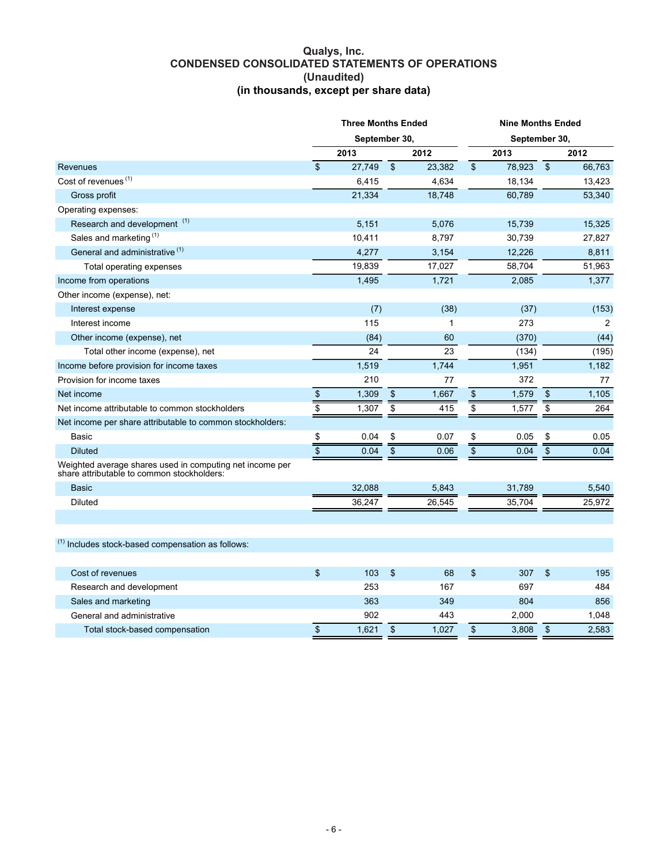#### **Qualys, Inc. CONDENSED CONSOLIDATED STATEMENTS OF OPERATIONS (Unaudited) (in thousands, except per share data)**

|                                                                                                        | $\sqrt{2}$        | September 30,<br>2013 |                   |        |                         |        |                         |        |  |  |  |
|--------------------------------------------------------------------------------------------------------|-------------------|-----------------------|-------------------|--------|-------------------------|--------|-------------------------|--------|--|--|--|
|                                                                                                        |                   |                       |                   |        | September 30,           |        |                         |        |  |  |  |
|                                                                                                        |                   |                       |                   | 2012   |                         | 2013   |                         | 2012   |  |  |  |
| Revenues                                                                                               |                   | 27,749                | $\overline{\$}$   | 23,382 | $\overline{\$}$         | 78,923 | $\sqrt[6]{\frac{1}{2}}$ | 66,763 |  |  |  |
| Cost of revenues <sup>(1)</sup>                                                                        |                   | 6,415                 |                   | 4,634  |                         | 18,134 |                         | 13,423 |  |  |  |
| Gross profit                                                                                           |                   | 21,334                |                   | 18,748 |                         | 60,789 |                         | 53,340 |  |  |  |
| Operating expenses:                                                                                    |                   |                       |                   |        |                         |        |                         |        |  |  |  |
| Research and development <sup>(1)</sup>                                                                |                   | 5,151                 |                   | 5,076  |                         | 15,739 |                         | 15,325 |  |  |  |
| Sales and marketing <sup>(1)</sup>                                                                     |                   | 10,411                |                   | 8,797  |                         | 30,739 |                         | 27,827 |  |  |  |
| General and administrative <sup>(1)</sup>                                                              |                   | 4,277                 |                   | 3,154  |                         | 12,226 |                         | 8,811  |  |  |  |
| Total operating expenses                                                                               |                   | 19,839                |                   | 17,027 |                         | 58,704 |                         | 51,963 |  |  |  |
| Income from operations                                                                                 |                   | 1,495                 |                   | 1,721  |                         | 2,085  |                         | 1,377  |  |  |  |
| Other income (expense), net:                                                                           |                   |                       |                   |        |                         |        |                         |        |  |  |  |
| Interest expense                                                                                       |                   | (7)                   |                   | (38)   |                         | (37)   |                         | (153)  |  |  |  |
| Interest income                                                                                        |                   | 115                   |                   | 1      |                         | 273    |                         | 2      |  |  |  |
| Other income (expense), net                                                                            |                   | (84)                  |                   | 60     |                         | (370)  |                         | (44)   |  |  |  |
| Total other income (expense), net                                                                      |                   | 24                    |                   | 23     |                         | (134)  |                         | (195)  |  |  |  |
| Income before provision for income taxes                                                               |                   | 1,519                 |                   | 1,744  |                         | 1,951  |                         | 1,182  |  |  |  |
| Provision for income taxes                                                                             |                   | 210                   |                   | 77     |                         | 372    |                         | 77     |  |  |  |
| Net income                                                                                             | $\boldsymbol{\$}$ | 1,309                 | $\boldsymbol{\$}$ | 1,667  | \$                      | 1,579  | $\mathfrak{s}$          | 1,105  |  |  |  |
| Net income attributable to common stockholders                                                         | $\overline{\$}$   | 1,307                 | $\overline{\$}$   | 415    | $\overline{\$}$         | 1,577  | \$                      | 264    |  |  |  |
| Net income per share attributable to common stockholders:                                              |                   |                       |                   |        |                         |        |                         |        |  |  |  |
| Basic                                                                                                  | \$                | 0.04                  | \$                | 0.07   | \$                      | 0.05   | \$                      | 0.05   |  |  |  |
| <b>Diluted</b>                                                                                         |                   | 0.04                  | $\overline{\$}$   | 0.06   | $\overline{\mathbf{s}}$ | 0.04   | $\overline{\$}$         | 0.04   |  |  |  |
| Weighted average shares used in computing net income per<br>share attributable to common stockholders: |                   |                       |                   |        |                         |        |                         |        |  |  |  |
| <b>Basic</b>                                                                                           |                   | 32,088                |                   | 5,843  |                         | 31,789 |                         | 5,540  |  |  |  |
| Diluted                                                                                                |                   | 36,247                |                   | 26,545 |                         | 35,704 |                         | 25,972 |  |  |  |
|                                                                                                        |                   |                       |                   |        |                         |        |                         |        |  |  |  |
| $(1)$ Includes stock-based compensation as follows:                                                    |                   |                       |                   |        |                         |        |                         |        |  |  |  |
| Cost of revenues                                                                                       | \$                | 103                   | \$                | 68     | \$                      | 307    | \$                      | 195    |  |  |  |
| Research and development                                                                               |                   | 253                   |                   | 167    |                         | 697    |                         | 484    |  |  |  |
| Sales and marketing                                                                                    |                   | 363                   |                   | 349    |                         | 804    |                         | 856    |  |  |  |
| General and administrative                                                                             |                   | 902                   |                   | 443    |                         | 2,000  |                         | 1,048  |  |  |  |
| Total stock-based compensation                                                                         | $\boldsymbol{\$}$ | 1,621                 | $\boldsymbol{\$}$ | 1,027  | \$                      | 3,808  | \$                      | 2,583  |  |  |  |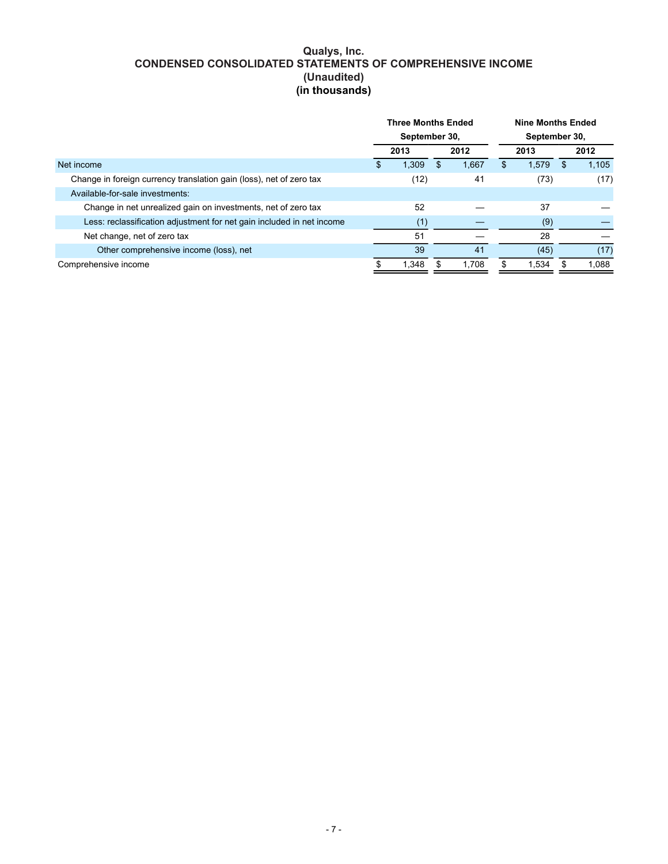## **Qualys, Inc. CONDENSED CONSOLIDATED STATEMENTS OF COMPREHENSIVE INCOME (Unaudited) (in thousands)**

|                                                                       | <b>Three Months Ended</b> |               |     |       |    | <b>Nine Months Ended</b> |               |       |  |      |
|-----------------------------------------------------------------------|---------------------------|---------------|-----|-------|----|--------------------------|---------------|-------|--|------|
|                                                                       |                           | September 30, |     |       |    |                          | September 30, |       |  |      |
|                                                                       | 2013                      |               |     | 2012  |    |                          | 2013          |       |  | 2012 |
| Net income                                                            |                           | 1.309         | \$. | 1.667 | \$ | 1.579                    | \$.           | 1.105 |  |      |
| Change in foreign currency translation gain (loss), net of zero tax   |                           | 41<br>(12)    |     |       |    | (73)                     | (17)          |       |  |      |
| Available-for-sale investments:                                       |                           |               |     |       |    |                          |               |       |  |      |
| Change in net unrealized gain on investments, net of zero tax         | 52                        |               |     |       |    | 37                       |               |       |  |      |
| Less: reclassification adjustment for net gain included in net income |                           | (1)           |     |       |    | (9)                      |               |       |  |      |
| Net change, net of zero tax                                           |                           | 51            |     |       |    | 28                       |               |       |  |      |
| Other comprehensive income (loss), net                                |                           | 39            |     | 41    |    | (45)                     |               | (17)  |  |      |
| Comprehensive income                                                  |                           | 1,348         |     | 1.708 |    | 1.534                    |               | 1.088 |  |      |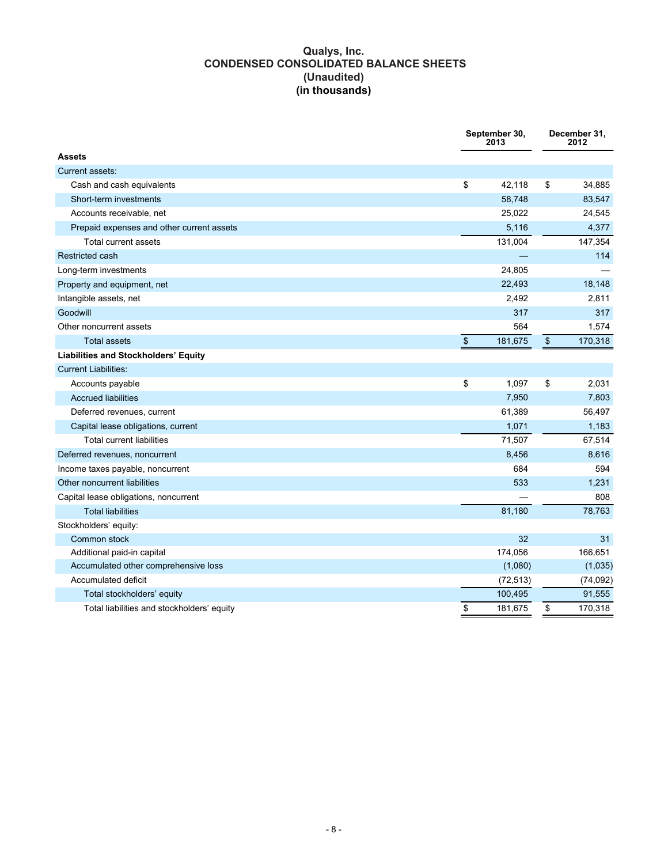## **Qualys, Inc. CONDENSED CONSOLIDATED BALANCE SHEETS (Unaudited) (in thousands)**

|                                             | September 30,<br>2013 |    | December 31,<br>2012 |
|---------------------------------------------|-----------------------|----|----------------------|
| <b>Assets</b>                               |                       |    |                      |
| Current assets:                             |                       |    |                      |
| Cash and cash equivalents                   | \$<br>42,118          | \$ | 34,885               |
| Short-term investments                      | 58,748                |    | 83,547               |
| Accounts receivable, net                    | 25,022                |    | 24,545               |
| Prepaid expenses and other current assets   | 5,116                 |    | 4,377                |
| <b>Total current assets</b>                 | 131,004               |    | 147,354              |
| Restricted cash                             |                       |    | 114                  |
| Long-term investments                       | 24,805                |    |                      |
| Property and equipment, net                 | 22,493                |    | 18,148               |
| Intangible assets, net                      | 2,492                 |    | 2,811                |
| Goodwill                                    | 317                   |    | 317                  |
| Other noncurrent assets                     | 564                   |    | 1,574                |
| <b>Total assets</b>                         | \$<br>181,675         | \$ | 170,318              |
| <b>Liabilities and Stockholders' Equity</b> |                       |    |                      |
| <b>Current Liabilities:</b>                 |                       |    |                      |
| Accounts payable                            | \$<br>1,097           | \$ | 2,031                |
| <b>Accrued liabilities</b>                  | 7,950                 |    | 7,803                |
| Deferred revenues, current                  | 61,389                |    | 56,497               |
| Capital lease obligations, current          | 1,071                 |    | 1,183                |
| <b>Total current liabilities</b>            | 71,507                |    | 67,514               |
| Deferred revenues, noncurrent               | 8,456                 |    | 8,616                |
| Income taxes payable, noncurrent            | 684                   |    | 594                  |
| Other noncurrent liabilities                | 533                   |    | 1,231                |
| Capital lease obligations, noncurrent       |                       |    | 808                  |
| <b>Total liabilities</b>                    | 81,180                |    | 78,763               |
| Stockholders' equity:                       |                       |    |                      |
| Common stock                                | 32                    |    | 31                   |
| Additional paid-in capital                  | 174,056               |    | 166,651              |
| Accumulated other comprehensive loss        | (1,080)               |    | (1,035)              |
| Accumulated deficit                         | (72, 513)             |    | (74, 092)            |
| Total stockholders' equity                  | 100,495               |    | 91,555               |
| Total liabilities and stockholders' equity  | \$<br>181,675         | \$ | 170,318              |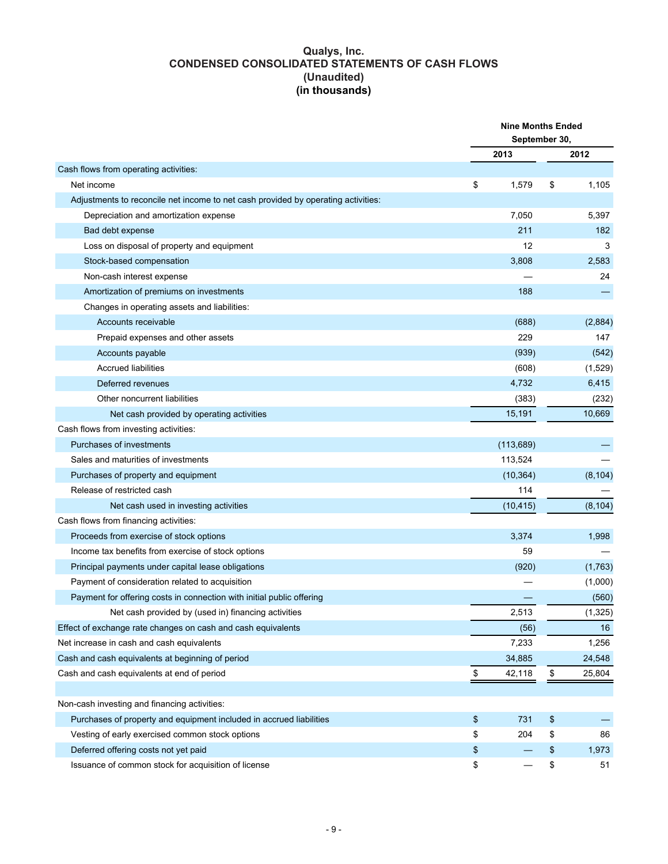#### **Qualys, Inc. CONDENSED CONSOLIDATED STATEMENTS OF CASH FLOWS (Unaudited) (in thousands)**

|                                                                                   | <b>Nine Months Ended</b><br>September 30, |            |    |          |  |
|-----------------------------------------------------------------------------------|-------------------------------------------|------------|----|----------|--|
|                                                                                   |                                           | 2013       |    | 2012     |  |
| Cash flows from operating activities:                                             |                                           |            |    |          |  |
| Net income                                                                        | \$                                        | 1,579      | \$ | 1,105    |  |
| Adjustments to reconcile net income to net cash provided by operating activities: |                                           |            |    |          |  |
| Depreciation and amortization expense                                             |                                           | 7,050      |    | 5,397    |  |
| Bad debt expense                                                                  |                                           | 211        |    | 182      |  |
| Loss on disposal of property and equipment                                        |                                           | 12         |    | 3        |  |
| Stock-based compensation                                                          |                                           | 3,808      |    | 2,583    |  |
| Non-cash interest expense                                                         |                                           |            |    | 24       |  |
| Amortization of premiums on investments                                           |                                           | 188        |    |          |  |
| Changes in operating assets and liabilities:                                      |                                           |            |    |          |  |
| Accounts receivable                                                               |                                           | (688)      |    | (2,884)  |  |
| Prepaid expenses and other assets                                                 |                                           | 229        |    | 147      |  |
| Accounts payable                                                                  |                                           | (939)      |    | (542)    |  |
| <b>Accrued liabilities</b>                                                        |                                           | (608)      |    | (1,529)  |  |
| Deferred revenues                                                                 |                                           | 4,732      |    | 6,415    |  |
| Other noncurrent liabilities                                                      |                                           | (383)      |    | (232)    |  |
| Net cash provided by operating activities                                         |                                           | 15,191     |    | 10,669   |  |
| Cash flows from investing activities:                                             |                                           |            |    |          |  |
| Purchases of investments                                                          |                                           | (113, 689) |    |          |  |
| Sales and maturities of investments                                               |                                           | 113,524    |    |          |  |
| Purchases of property and equipment                                               |                                           | (10, 364)  |    | (8, 104) |  |
| Release of restricted cash                                                        |                                           | 114        |    |          |  |
| Net cash used in investing activities                                             |                                           | (10, 415)  |    | (8, 104) |  |
| Cash flows from financing activities:                                             |                                           |            |    |          |  |
| Proceeds from exercise of stock options                                           |                                           | 3,374      |    | 1,998    |  |
| Income tax benefits from exercise of stock options                                |                                           | 59         |    |          |  |
| Principal payments under capital lease obligations                                |                                           | (920)      |    | (1,763)  |  |
| Payment of consideration related to acquisition                                   |                                           |            |    | (1,000)  |  |
| Payment for offering costs in connection with initial public offering             |                                           |            |    | (560)    |  |
| Net cash provided by (used in) financing activities                               |                                           | 2,513      |    | (1, 325) |  |
| Effect of exchange rate changes on cash and cash equivalents                      |                                           | (56)       |    | 16       |  |
| Net increase in cash and cash equivalents                                         |                                           | 7,233      |    | 1,256    |  |
| Cash and cash equivalents at beginning of period                                  |                                           | 34,885     |    | 24,548   |  |
| Cash and cash equivalents at end of period                                        | \$                                        | 42,118     | \$ | 25,804   |  |
|                                                                                   |                                           |            |    |          |  |
| Non-cash investing and financing activities:                                      |                                           |            |    |          |  |
| Purchases of property and equipment included in accrued liabilities               | \$                                        | 731        | \$ |          |  |
| Vesting of early exercised common stock options                                   | \$                                        | 204        | \$ | 86       |  |
| Deferred offering costs not yet paid                                              | \$                                        |            | \$ | 1,973    |  |
| Issuance of common stock for acquisition of license                               | \$                                        |            | \$ | 51       |  |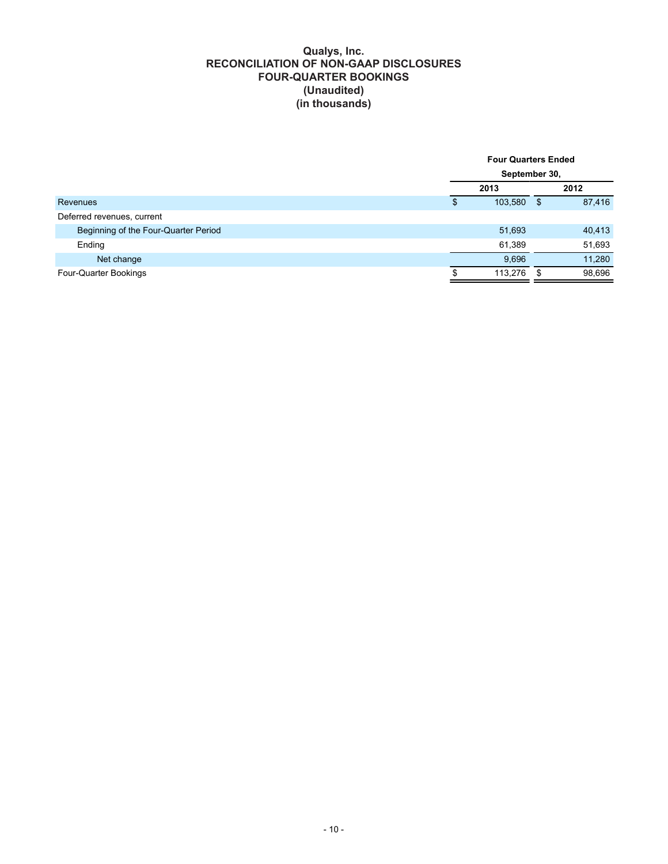#### **Qualys, Inc. RECONCILIATION OF NON-GAAP DISCLOSURES FOUR-QUARTER BOOKINGS (Unaudited) (in thousands)**

|                                      | <b>Four Quarters Ended</b> |            |        |  |  |  |  |
|--------------------------------------|----------------------------|------------|--------|--|--|--|--|
|                                      | September 30,              |            |        |  |  |  |  |
|                                      | 2013                       |            | 2012   |  |  |  |  |
| Revenues                             | \$<br>103,580              | $\sqrt{S}$ | 87,416 |  |  |  |  |
| Deferred revenues, current           |                            |            |        |  |  |  |  |
| Beginning of the Four-Quarter Period | 51,693                     |            | 40,413 |  |  |  |  |
| Ending                               | 61,389                     |            | 51,693 |  |  |  |  |
| Net change                           | 9,696                      |            | 11,280 |  |  |  |  |
| Four-Quarter Bookings                | 113,276                    | - \$       | 98,696 |  |  |  |  |
|                                      |                            |            |        |  |  |  |  |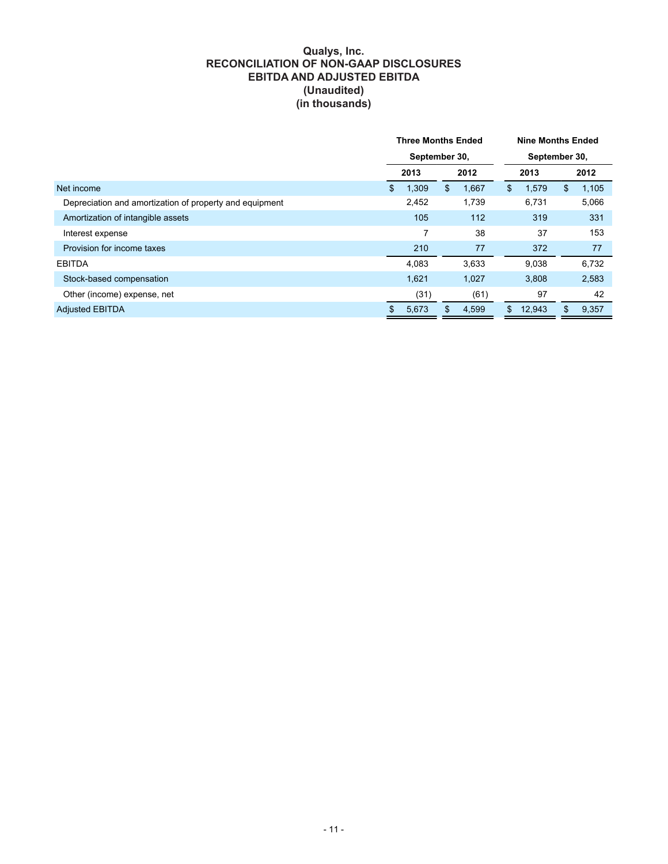#### **Qualys, Inc. RECONCILIATION OF NON-GAAP DISCLOSURES EBITDA AND ADJUSTED EBITDA (Unaudited) (in thousands)**

|                                                         | <b>Three Months Ended</b> |               |      |       |               | <b>Nine Months Ended</b> |       |       |       |    |       |
|---------------------------------------------------------|---------------------------|---------------|------|-------|---------------|--------------------------|-------|-------|-------|----|-------|
|                                                         |                           | September 30, |      |       | September 30, |                          |       |       |       |    |       |
|                                                         |                           | 2013          | 2012 |       |               | 2013                     |       | 2012  |       |    |       |
| Net income                                              | \$                        | 1,309         | \$   |       |               |                          | 1,667 | \$    | 1,579 | \$ | 1,105 |
| Depreciation and amortization of property and equipment |                           | 2,452         |      | 1,739 |               | 6,731                    |       | 5,066 |       |    |       |
| Amortization of intangible assets                       |                           | 105           |      | 112   |               | 319                      |       | 331   |       |    |       |
| Interest expense                                        |                           | 7             |      | 38    |               | 37                       |       | 153   |       |    |       |
| Provision for income taxes                              |                           | 210           |      | 77    |               | 372                      |       | 77    |       |    |       |
| <b>EBITDA</b>                                           |                           | 4.083         |      | 3,633 |               | 9.038                    |       | 6,732 |       |    |       |
| Stock-based compensation                                |                           | 1,621         |      | 1,027 |               | 3,808                    |       | 2,583 |       |    |       |
| Other (income) expense, net                             |                           | (31)          |      | (61)  |               | 97                       |       | 42    |       |    |       |
| <b>Adjusted EBITDA</b>                                  | \$                        | 5,673         | \$   | 4,599 | \$            | 12,943                   | \$    | 9,357 |       |    |       |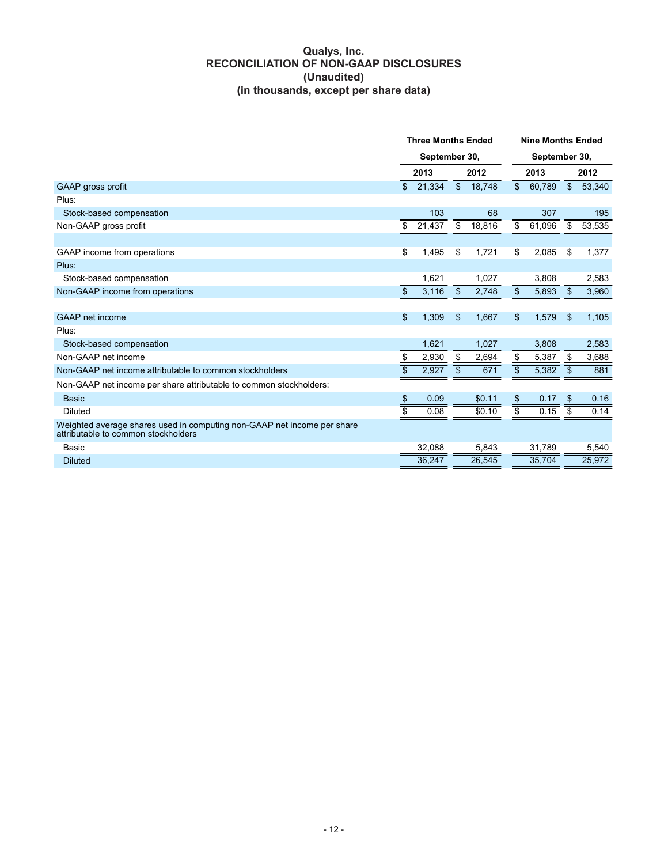#### **Qualys, Inc. RECONCILIATION OF NON-GAAP DISCLOSURES (Unaudited) (in thousands, except per share data)**

|                                                                                                                | <b>Three Months Ended</b> |        |                |        | <b>Nine Months Ended</b> |               |                |        |  |  |
|----------------------------------------------------------------------------------------------------------------|---------------------------|--------|----------------|--------|--------------------------|---------------|----------------|--------|--|--|
|                                                                                                                | September 30,             |        |                |        |                          | September 30, |                |        |  |  |
|                                                                                                                |                           | 2013   |                | 2012   |                          | 2013          |                | 2012   |  |  |
| <b>GAAP</b> gross profit                                                                                       | $\mathfrak{L}$            | 21,334 | $\mathbb{S}$   | 18,748 | \$                       | 60,789        | $\mathbb{S}$   | 53,340 |  |  |
| Plus:                                                                                                          |                           |        |                |        |                          |               |                |        |  |  |
| Stock-based compensation                                                                                       |                           | 103    |                | 68     |                          | 307           |                | 195    |  |  |
| Non-GAAP gross profit                                                                                          | \$                        | 21.437 | \$             | 18,816 | \$                       | 61,096        | \$             | 53,535 |  |  |
|                                                                                                                |                           |        |                |        |                          |               |                |        |  |  |
| GAAP income from operations                                                                                    | \$                        | 1,495  | \$             | 1,721  | \$                       | 2,085         | \$             | 1,377  |  |  |
| Plus:                                                                                                          |                           |        |                |        |                          |               |                |        |  |  |
| Stock-based compensation                                                                                       |                           | 1.621  |                | 1,027  |                          | 3.808         |                | 2,583  |  |  |
| Non-GAAP income from operations                                                                                | $\boldsymbol{\$}$         | 3,116  | $\mathfrak{S}$ | 2,748  | $\overline{\$}$          | 5,893         | $\mathfrak{L}$ | 3,960  |  |  |
|                                                                                                                |                           |        |                |        |                          |               |                |        |  |  |
| GAAP net income                                                                                                | \$                        | 1,309  | \$             | 1,667  | $\mathfrak{S}$           | 1,579         | \$             | 1,105  |  |  |
| Plus:                                                                                                          |                           |        |                |        |                          |               |                |        |  |  |
| Stock-based compensation                                                                                       |                           | 1,621  |                | 1,027  |                          | 3,808         |                | 2,583  |  |  |
| Non-GAAP net income                                                                                            | \$                        | 2,930  | \$             | 2,694  | \$                       | 5,387         | \$             | 3,688  |  |  |
| Non-GAAP net income attributable to common stockholders                                                        | \$                        | 2,927  | \$             | 671    | $\overline{\$}$          | 5,382         | \$             | 881    |  |  |
| Non-GAAP net income per share attributable to common stockholders:                                             |                           |        |                |        |                          |               |                |        |  |  |
| <b>Basic</b>                                                                                                   | \$                        | 0.09   |                | \$0.11 | \$                       | 0.17          | \$             | 0.16   |  |  |
| <b>Diluted</b>                                                                                                 |                           | 0.08   |                | \$0.10 |                          | 0.15          | \$             | 0.14   |  |  |
| Weighted average shares used in computing non-GAAP net income per share<br>attributable to common stockholders |                           |        |                |        |                          |               |                |        |  |  |
| Basic                                                                                                          |                           | 32,088 |                | 5,843  |                          | 31,789        |                | 5,540  |  |  |
| <b>Diluted</b>                                                                                                 |                           | 36,247 |                | 26,545 |                          | 35,704        |                | 25,972 |  |  |